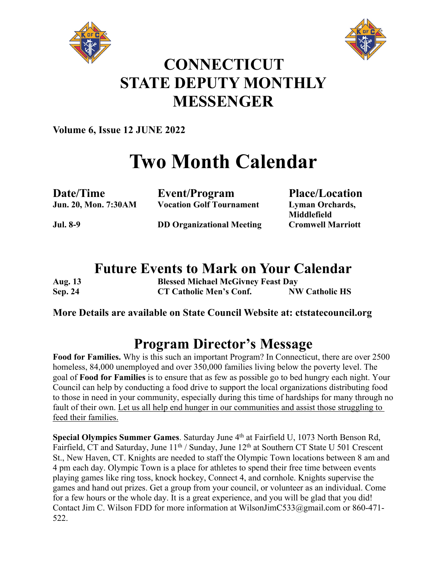



## **CONNECTICUT STATE DEPUTY MONTHLY MESSENGER**

**Volume 6, Issue 12 JUNE 2022**

# **Two Month Calendar**

**Date/Time Event/Program Place/Location Jun. 20, Mon. 7:30AM Vocation Golf Tournament Lyman Orchards,** 

**Middlefield Jul. 8-9 DD Organizational Meeting Cromwell Marriott**

### **Future Events to Mark on Your Calendar**

| <b>Aug.</b> 13 | <b>Blessed Michael McGivney Feast Day</b> |                       |
|----------------|-------------------------------------------|-----------------------|
| <b>Sep. 24</b> | CT Catholic Men's Conf.                   | <b>NW Catholic HS</b> |

#### **More Details are available on State Council Website at: ctstatecouncil.org**

### **Program Director's Message**

**Food for Families.** Why is this such an important Program? In Connecticut, there are over 2500 homeless, 84,000 unemployed and over 350,000 families living below the poverty level. The goal of **Food for Families** is to ensure that as few as possible go to bed hungry each night. Your Council can help by conducting a food drive to support the local organizations distributing food to those in need in your community, especially during this time of hardships for many through no fault of their own. Let us all help end hunger in our communities and assist those struggling to feed their families.

**Special Olympics Summer Games**. Saturday June 4<sup>th</sup> at Fairfield U, 1073 North Benson Rd, Fairfield, CT and Saturday, June 11<sup>th</sup> / Sunday, June 12<sup>th</sup> at Southern CT State U 501 Crescent St., New Haven, CT. Knights are needed to staff the Olympic Town locations between 8 am and 4 pm each day. Olympic Town is a place for athletes to spend their free time between events playing games like ring toss, knock hockey, Connect 4, and cornhole. Knights supervise the games and hand out prizes. Get a group from your council, or volunteer as an individual. Come for a few hours or the whole day. It is a great experience, and you will be glad that you did! Contact Jim C. Wilson FDD for more information at WilsonJimC533@gmail.com or 860-471- 522.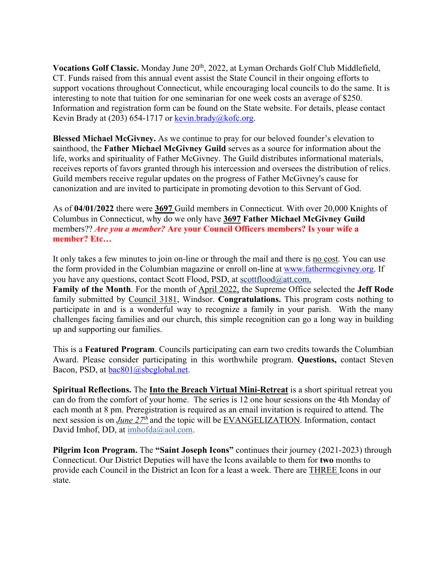Vocations Golf Classic. Monday June 20<sup>th</sup>, 2022, at Lyman Orchards Golf Club Middlefield, CT. Funds raised from this annual event assist the State Council in their ongoing efforts to support vocations throughout Connecticut, while encouraging local councils to do the same. It is interesting to note that tuition for one seminarian for one week costs an average of \$250. Information and registration form can be found on the State website. For details, please contact Kevin Brady at (203) 654-1717 or kevin.brady@kofc.org.

**Blessed Michael McGivney.** As we continue to pray for our beloved founder's elevation to sainthood, the **Father Michael McGivney Guild** serves as a source for information about the life, works and spirituality of Father McGivney. The Guild distributes informational materials, receives reports of favors granted through his intercession and oversees the distribution of relics. Guild members receive regular updates on the progress of Father McGivney's cause for canonization and are invited to participate in promoting devotion to this Servant of God.

As of **04/01/2022** there were **3697** Guild members in Connecticut. With over 20,000 Knights of Columbus in Connecticut, why do we only have **3697 Father Michael McGivney Guild** members?? *Are you a member?* **Are your Council Officers members? Is your wife a member? Etc…**

It only takes a few minutes to join on-line or through the mail and there is no cost. You can use the form provided in the Columbian magazine or enroll on-line at www.fathermcgivney.org. If you have any questions, contact Scott Flood, PSD, at scottflood@att.com. **Family of the Month**. For the month of April 2022, the Supreme Office selected the **Jeff Rode** family submitted by Council 3181, Windsor. **Congratulations.** This program costs nothing to participate in and is a wonderful way to recognize a family in your parish. With the many challenges facing families and our church, this simple recognition can go a long way in building up and supporting our families.

This is a **Featured Program**. Councils participating can earn two credits towards the Columbian Award. Please consider participating in this worthwhile program. **Questions,** contact Steven Bacon, PSD, at bac801@sbcglobal.net.

**Spiritual Reflections.** The **Into the Breach Virtual Mini-Retreat** is a short spiritual retreat you can do from the comfort of your home. The series is 12 one hour sessions on the 4th Monday of each month at 8 pm. Preregistration is required as an email invitation is required to attend. The next session is on *June 27th* and the topic will be EVANGELIZATION. Information, contact David Imhof, DD, at imhofda@aol.com.

**Pilgrim Icon Program.** The **"Saint Joseph Icons"** continues their journey (2021-2023) through Connecticut. Our District Deputies will have the Icons available to them for **two** months to provide each Council in the District an Icon for a least a week. There are THREE Icons in our state.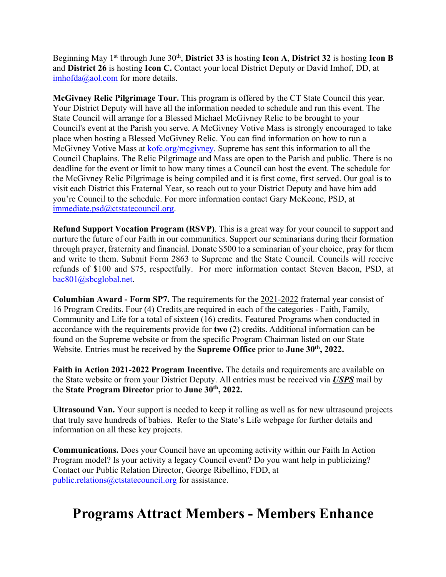Beginning May 1st through June 30th, **District 33** is hosting **Icon A**, **District 32** is hosting **Icon B** and **District 26** is hosting **Icon C.** Contact your local District Deputy or David Imhof, DD, at imhofda@aol.com for more details.

**McGivney Relic Pilgrimage Tour.** This program is offered by the CT State Council this year. Your District Deputy will have all the information needed to schedule and run this event. The State Council will arrange for a Blessed Michael McGivney Relic to be brought to your Council's event at the Parish you serve. A McGivney Votive Mass is strongly encouraged to take place when hosting a Blessed McGivney Relic. You can find information on how to run a McGivney Votive Mass at kofc.org/mcgivney. Supreme has sent this information to all the Council Chaplains. The Relic Pilgrimage and Mass are open to the Parish and public. There is no deadline for the event or limit to how many times a Council can host the event. The schedule for the McGivney Relic Pilgrimage is being compiled and it is first come, first served. Our goal is to visit each District this Fraternal Year, so reach out to your District Deputy and have him add you're Council to the schedule. For more information contact Gary McKeone, PSD, at immediate.psd@ctstatecouncil.org.

**Refund Support Vocation Program (RSVP)**. This is a great way for your council to support and nurture the future of our Faith in our communities. Support our seminarians during their formation through prayer, fraternity and financial. Donate \$500 to a seminarian of your choice, pray for them and write to them. Submit Form 2863 to Supreme and the State Council. Councils will receive refunds of \$100 and \$75, respectfully. For more information contact Steven Bacon, PSD, at bac801@sbcglobal.net.

**Columbian Award - Form SP7.** The requirements for the 2021-2022 fraternal year consist of 16 Program Credits. Four (4) Credits are required in each of the categories - Faith, Family, Community and Life for a total of sixteen (16) credits. Featured Programs when conducted in accordance with the requirements provide for **two** (2) credits. Additional information can be found on the Supreme website or from the specific Program Chairman listed on our State Website. Entries must be received by the **Supreme Office** prior to **June 30th, 2022.** 

**Faith in Action 2021-2022 Program Incentive.** The details and requirements are available on the State website or from your District Deputy. All entries must be received via *USPS* mail by the **State Program Director** prior to **June 30th, 2022.**

**Ultrasound Van.** Your support is needed to keep it rolling as well as for new ultrasound projects that truly save hundreds of babies. Refer to the State's Life webpage for further details and information on all these key projects.

**Communications.** Does your Council have an upcoming activity within our Faith In Action Program model? Is your activity a legacy Council event? Do you want help in publicizing? Contact our Public Relation Director, George Ribellino, FDD, at public.relations@ctstatecouncil.org for assistance.

### **Programs Attract Members - Members Enhance**